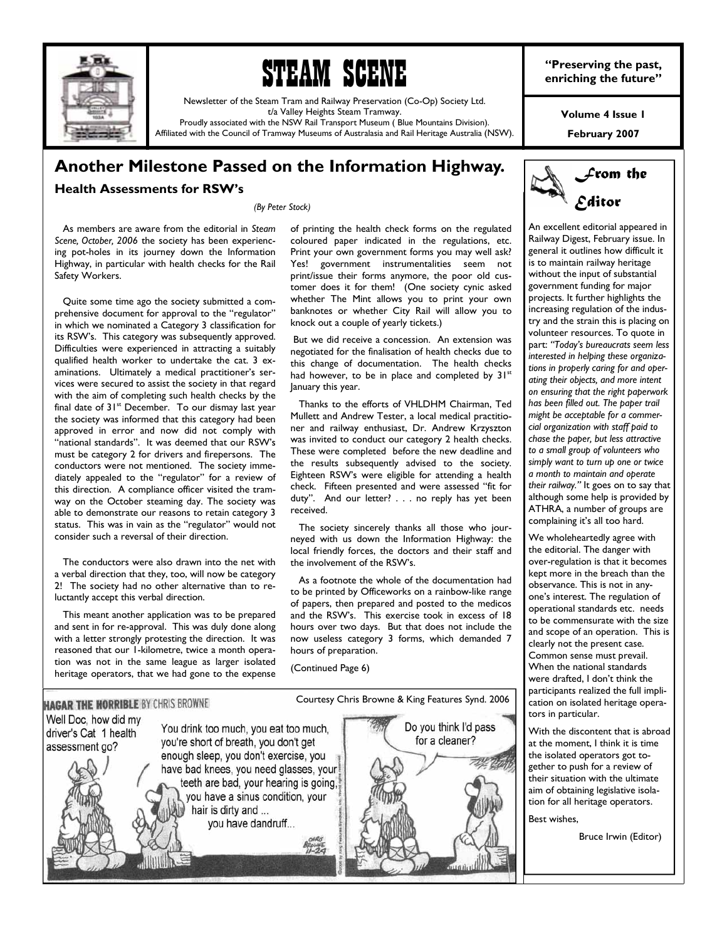



Newsletter of the Steam Tram and Railway Preservation (Co-Op) Society Ltd. t/a Valley Heights Steam Tramway.

Proudly associated with the NSW Rail Transport Museum ( Blue Mountains Division). Affiliated with the Council of Tramway Museums of Australasia and Rail Heritage Australia (NSW). **"Preserving the past, enriching the future"** 

**Volume 4 Issue 1** 

**February 2007** 

# **Another Milestone Passed on the Information Highway.**

## **Health Assessments for RSW's**

*(By Peter Stock)* 

 As members are aware from the editorial in *Steam Scene, October, 2006* the society has been experiencing pot-holes in its journey down the Information Highway, in particular with health checks for the Rail Safety Workers.

 Quite some time ago the society submitted a comprehensive document for approval to the "regulator" in which we nominated a Category 3 classification for its RSW's. This category was subsequently approved. Difficulties were experienced in attracting a suitably qualified health worker to undertake the cat. 3 examinations. Ultimately a medical practitioner's services were secured to assist the society in that regard with the aim of completing such health checks by the final date of  $31<sup>st</sup>$  December. To our dismay last year the society was informed that this category had been approved in error and now did not comply with "national standards". It was deemed that our RSW's must be category 2 for drivers and firepersons. The conductors were not mentioned. The society immediately appealed to the "regulator" for a review of this direction. A compliance officer visited the tramway on the October steaming day. The society was able to demonstrate our reasons to retain category 3 status. This was in vain as the "regulator" would not consider such a reversal of their direction.

 The conductors were also drawn into the net with a verbal direction that they, too, will now be category 2! The society had no other alternative than to reluctantly accept this verbal direction.

 This meant another application was to be prepared and sent in for re-approval. This was duly done along with a letter strongly protesting the direction. It was reasoned that our 1-kilometre, twice a month operation was not in the same league as larger isolated heritage operators, that we had gone to the expense of printing the health check forms on the regulated coloured paper indicated in the regulations, etc. Print your own government forms you may well ask? Yes! government instrumentalities seem not print/issue their forms anymore, the poor old customer does it for them! (One society cynic asked whether The Mint allows you to print your own banknotes or whether City Rail will allow you to knock out a couple of yearly tickets.)

 But we did receive a concession. An extension was negotiated for the finalisation of health checks due to this change of documentation. The health checks had however, to be in place and completed by  $31<sup>st</sup>$ January this year.

 Thanks to the efforts of VHLDHM Chairman, Ted Mullett and Andrew Tester, a local medical practitioner and railway enthusiast, Dr. Andrew Krzyszton was invited to conduct our category 2 health checks. These were completed before the new deadline and the results subsequently advised to the society. Eighteen RSW's were eligible for attending a health check. Fifteen presented and were assessed "fit for duty". And our letter? . . . no reply has yet been received.

 The society sincerely thanks all those who journeyed with us down the Information Highway: the local friendly forces, the doctors and their staff and the involvement of the RSW's.

 As a footnote the whole of the documentation had to be printed by Officeworks on a rainbow-like range of papers, then prepared and posted to the medicos and the RSW's. This exercise took in excess of 18 hours over two days. But that does not include the now useless category 3 forms, which demanded 7 hours of preparation.

(Continued Page 6)



*From the Editor* 

An excellent editorial appeared in Railway Digest, February issue. In general it outlines how difficult it is to maintain railway heritage without the input of substantial government funding for major projects. It further highlights the increasing regulation of the industry and the strain this is placing on volunteer resources. To quote in part: *"Today's bureaucrats seem less interested in helping these organizations in properly caring for and operating their objects, and more intent on ensuring that the right paperwork has been filled out. The paper trail might be acceptable for a commercial organization with staff paid to chase the paper, but less attractive to a small group of volunteers who simply want to turn up one or twice a month to maintain and operate their railway."* It goes on to say that although some help is provided by ATHRA, a number of groups are complaining it's all too hard.

We wholeheartedly agree with the editorial. The danger with over-regulation is that it becomes kept more in the breach than the observance. This is not in anyone's interest. The regulation of operational standards etc. needs to be commensurate with the size and scope of an operation. This is clearly not the present case. Common sense must prevail. When the national standards were drafted, I don't think the participants realized the full implication on isolated heritage operators in particular.

With the discontent that is abroad at the moment, I think it is time the isolated operators got together to push for a review of their situation with the ultimate aim of obtaining legislative isolation for all heritage operators.

Best wishes,

Bruce Irwin (Editor)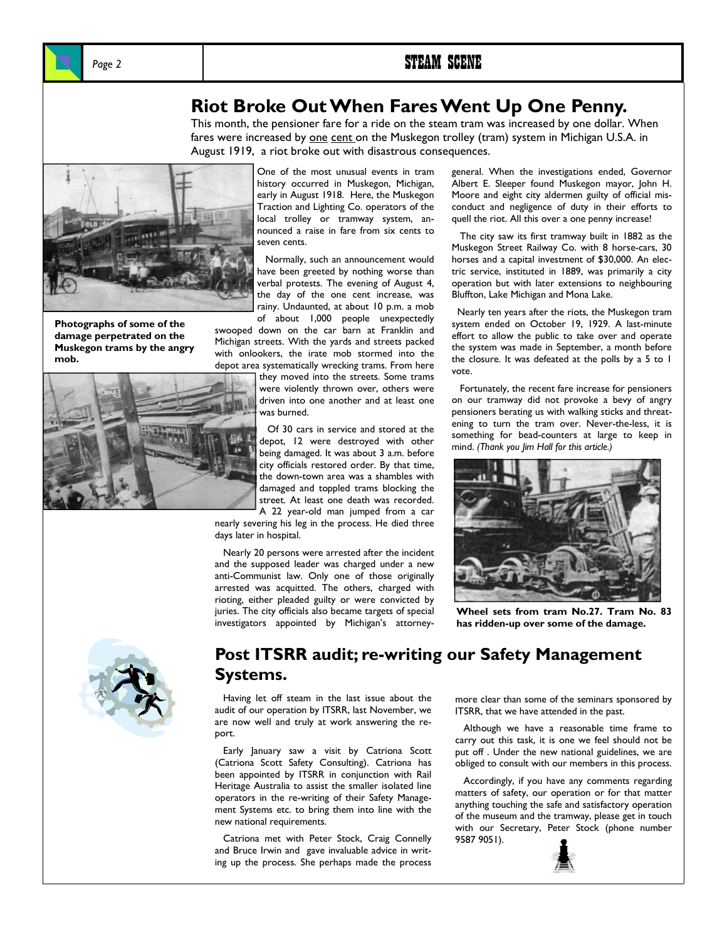

# **Riot Broke Out When Fares Went Up One Penny.**

This month, the pensioner fare for a ride on the steam tram was increased by one dollar. When fares were increased by <u>one cent </u>on the Muskegon trolley (tram) system in Michigan U.S.A. in August 1919, a riot broke out with disastrous consequences.



**Photographs of some of the damage perpetrated on the Muskegon trams by the angry mob.** 



One of the most unusual events in tram history occurred in Muskegon, Michigan, early in August 1918. Here, the Muskegon Traction and Lighting Co. operators of the local trolley or tramway system, announced a raise in fare from six cents to seven cents.

 Normally, such an announcement would have been greeted by nothing worse than verbal protests. The evening of August 4, the day of the one cent increase, was rainy. Undaunted, at about 10 p.m. a mob of about 1,000 people unexpectedly

swooped down on the car barn at Franklin and Michigan streets. With the yards and streets packed with onlookers, the irate mob stormed into the depot area systematically wrecking trams. From here

they moved into the streets. Some trams were violently thrown over, others were driven into one another and at least one was burned.

 Of 30 cars in service and stored at the depot, 12 were destroyed with other being damaged. It was about 3 a.m. before city officials restored order. By that time, the down-town area was a shambles with damaged and toppled trams blocking the street. At least one death was recorded. A 22 year-old man jumped from a car

nearly severing his leg in the process. He died three days later in hospital.

 Nearly 20 persons were arrested after the incident and the supposed leader was charged under a new anti-Communist law. Only one of those originally arrested was acquitted. The others, charged with rioting, either pleaded guilty or were convicted by juries. The city officials also became targets of special investigators appointed by Michigan's attorneygeneral. When the investigations ended, Governor Albert E. Sleeper found Muskegon mayor, John H. Moore and eight city aldermen guilty of official misconduct and negligence of duty in their efforts to quell the riot. All this over a one penny increase!

 The city saw its first tramway built in 1882 as the Muskegon Street Railway Co. with 8 horse-cars, 30 horses and a capital investment of \$30,000. An electric service, instituted in 1889, was primarily a city operation but with later extensions to neighbouring Bluffton, Lake Michigan and Mona Lake.

 Nearly ten years after the riots, the Muskegon tram system ended on October 19, 1929. A last-minute effort to allow the public to take over and operate the system was made in September, a month before the closure. It was defeated at the polls by a 5 to 1 vote.

 Fortunately, the recent fare increase for pensioners on our tramway did not provoke a bevy of angry pensioners berating us with walking sticks and threatening to turn the tram over. Never-the-less, it is something for bead-counters at large to keep in mind. *(Thank you Jim Hall for this article.)*



**Wheel sets from tram No.27. Tram No. 83 has ridden-up over some of the damage.** 



# **Post ITSRR audit; re-writing our Safety Management Systems.**

 Having let off steam in the last issue about the audit of our operation by ITSRR, last November, we are now well and truly at work answering the report.

 Early January saw a visit by Catriona Scott (Catriona Scott Safety Consulting). Catriona has been appointed by ITSRR in conjunction with Rail Heritage Australia to assist the smaller isolated line operators in the re-writing of their Safety Management Systems etc. to bring them into line with the new national requirements.

 Catriona met with Peter Stock, Craig Connelly and Bruce Irwin and gave invaluable advice in writing up the process. She perhaps made the process

more clear than some of the seminars sponsored by ITSRR, that we have attended in the past.

 Although we have a reasonable time frame to carry out this task, it is one we feel should not be put off . Under the new national guidelines, we are obliged to consult with our members in this process.

 Accordingly, if you have any comments regarding matters of safety, our operation or for that matter anything touching the safe and satisfactory operation of the museum and the tramway, please get in touch with our Secretary, Peter Stock (phone number 9587 9051).

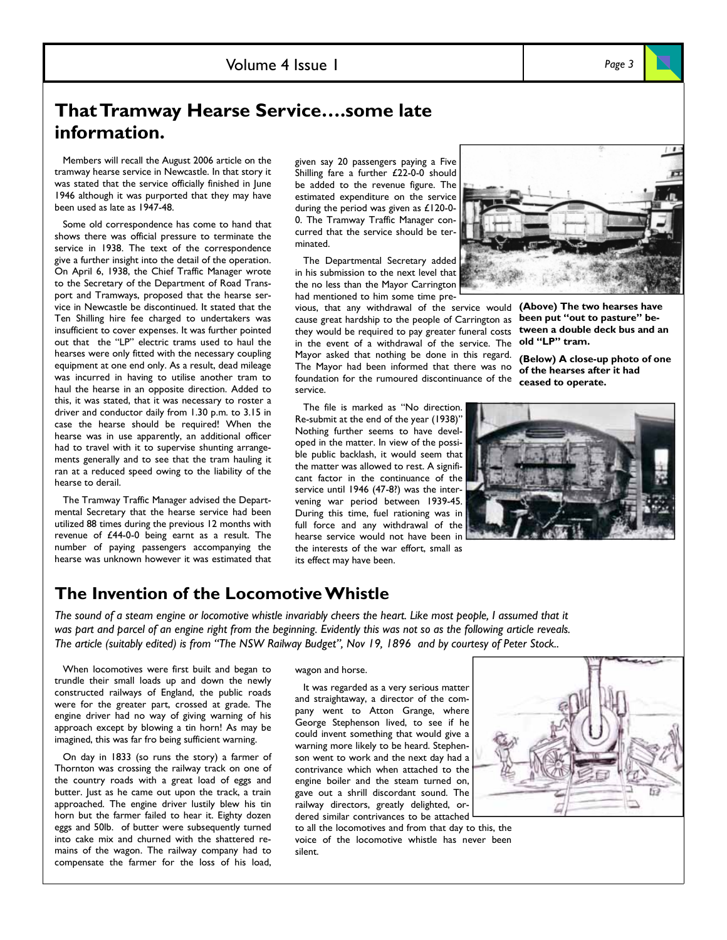# **That Tramway Hearse Service….some late information.**

 Members will recall the August 2006 article on the tramway hearse service in Newcastle. In that story it was stated that the service officially finished in June 1946 although it was purported that they may have been used as late as 1947-48.

 Some old correspondence has come to hand that shows there was official pressure to terminate the service in 1938. The text of the correspondence give a further insight into the detail of the operation. On April 6, 1938, the Chief Traffic Manager wrote to the Secretary of the Department of Road Transport and Tramways, proposed that the hearse service in Newcastle be discontinued. It stated that the Ten Shilling hire fee charged to undertakers was insufficient to cover expenses. It was further pointed out that the "LP" electric trams used to haul the hearses were only fitted with the necessary coupling equipment at one end only. As a result, dead mileage was incurred in having to utilise another tram to haul the hearse in an opposite direction. Added to this, it was stated, that it was necessary to roster a driver and conductor daily from 1.30 p.m. to 3.15 in case the hearse should be required! When the hearse was in use apparently, an additional officer had to travel with it to supervise shunting arrangements generally and to see that the tram hauling it ran at a reduced speed owing to the liability of the hearse to derail.

 The Tramway Traffic Manager advised the Departmental Secretary that the hearse service had been utilized 88 times during the previous 12 months with revenue of £44-0-0 being earnt as a result. The number of paying passengers accompanying the hearse was unknown however it was estimated that

given say 20 passengers paying a Five Shilling fare a further £22-0-0 should be added to the revenue figure. The estimated expenditure on the service during the period was given as £120-0- 0. The Tramway Traffic Manager concurred that the service should be terminated.

 The Departmental Secretary added in his submission to the next level that the no less than the Mayor Carrington had mentioned to him some time pre-

vious, that any withdrawal of the service would **(Above) The two hearses have**  cause great hardship to the people of Carrington as **been put "out to pasture" be**they would be required to pay greater funeral costs **tween a double deck bus and an**  in the event of a withdrawal of the service. The **old "LP" tram.**  Mayor asked that nothing be done in this regard. The Mayor had been informed that there was no **of the hearses after it had**  foundation for the rumoured discontinuance of the **ceased to operate.** 



**(Below) A close-up photo of one** 

 The file is marked as "No direction. Re-submit at the end of the year (1938)" Nothing further seems to have developed in the matter. In view of the possible public backlash, it would seem that the matter was allowed to rest. A significant factor in the continuance of the service until 1946 (47-8?) was the intervening war period between 1939-45. During this time, fuel rationing was in full force and any withdrawal of the hearse service would not have been in the interests of the war effort, small as its effect may have been.



## **The Invention of the Locomotive Whistle**

*The sound of a steam engine or locomotive whistle invariably cheers the heart. Like most people, I assumed that it was part and parcel of an engine right from the beginning. Evidently this was not so as the following article reveals. The article (suitably edited) is from "The NSW Railway Budget", Nov 19, 1896 and by courtesy of Peter Stock..* 

service.

 When locomotives were first built and began to trundle their small loads up and down the newly constructed railways of England, the public roads were for the greater part, crossed at grade. The engine driver had no way of giving warning of his approach except by blowing a tin horn! As may be imagined, this was far fro being sufficient warning.

 On day in 1833 (so runs the story) a farmer of Thornton was crossing the railway track on one of the country roads with a great load of eggs and butter. Just as he came out upon the track, a train approached. The engine driver lustily blew his tin horn but the farmer failed to hear it. Eighty dozen eggs and 50lb. of butter were subsequently turned into cake mix and churned with the shattered remains of the wagon. The railway company had to compensate the farmer for the loss of his load,

wagon and horse.

 It was regarded as a very serious matter and straightaway, a director of the company went to Atton Grange, where George Stephenson lived, to see if he could invent something that would give a warning more likely to be heard. Stephenson went to work and the next day had a contrivance which when attached to the engine boiler and the steam turned on, gave out a shrill discordant sound. The railway directors, greatly delighted, ordered similar contrivances to be attached

to all the locomotives and from that day to this, the voice of the locomotive whistle has never been silent.

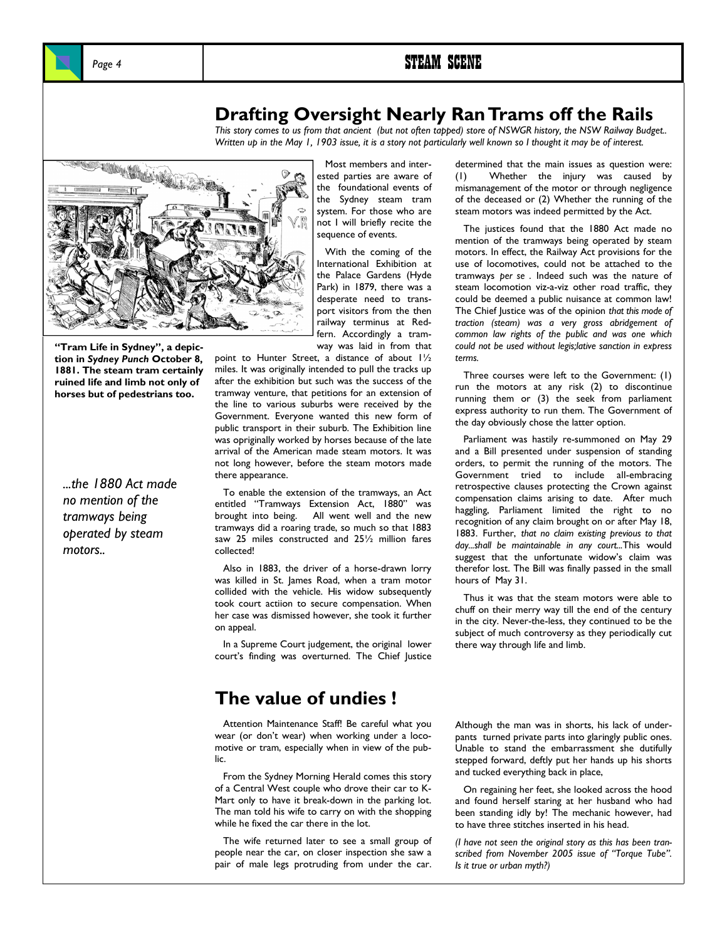# **Drafting Oversight Nearly Ran Trams off the Rails**

*This story comes to us from that ancient (but not often tapped) store of NSWGR history, the NSW Railway Budget..*  Written up in the May 1, 1903 issue, it is a story not particularly well known so I thought it may be of interest.



**"Tram Life in Sydney", a depiction in** *Sydney Punch* **October 8, 1881. The steam tram certainly ruined life and limb not only of horses but of pedestrians too.** 

*...the 1880 Act made no mention of the tramways being operated by steam motors..* 

 Most members and interested parties are aware of the foundational events of the Sydney steam tram system. For those who are not I will briefly recite the sequence of events.

 With the coming of the International Exhibition at the Palace Gardens (Hyde Park) in 1879, there was a desperate need to transport visitors from the then railway terminus at Redfern. Accordingly a tramway was laid in from that

point to Hunter Street, a distance of about 1½ miles. It was originally intended to pull the tracks up after the exhibition but such was the success of the tramway venture, that petitions for an extension of the line to various suburbs were received by the Government. Everyone wanted this new form of public transport in their suburb. The Exhibition line was opriginally worked by horses because of the late arrival of the American made steam motors. It was not long however, before the steam motors made there appearance.

 To enable the extension of the tramways, an Act entitled "Tramways Extension Act, 1880" was brought into being. All went well and the new tramways did a roaring trade, so much so that 1883 saw 25 miles constructed and 25½ million fares collected!

 Also in 1883, the driver of a horse-drawn lorry was killed in St. James Road, when a tram motor collided with the vehicle. His widow subsequently took court actiion to secure compensation. When her case was dismissed however, she took it further on appeal.

 In a Supreme Court judgement, the original lower court's finding was overturned. The Chief Justice

## **The value of undies !**

 Attention Maintenance Staff! Be careful what you wear (or don't wear) when working under a locomotive or tram, especially when in view of the public.

 From the Sydney Morning Herald comes this story of a Central West couple who drove their car to K-Mart only to have it break-down in the parking lot. The man told his wife to carry on with the shopping while he fixed the car there in the lot.

 The wife returned later to see a small group of people near the car, on closer inspection she saw a pair of male legs protruding from under the car.

determined that the main issues as question were: (1) Whether the injury was caused by mismanagement of the motor or through negligence of the deceased or (2) Whether the running of the steam motors was indeed permitted by the Act.

 The justices found that the 1880 Act made no mention of the tramways being operated by steam motors. In effect, the Railway Act provisions for the use of locomotives, could not be attached to the tramways *per se* . Indeed such was the nature of steam locomotion viz-a-viz other road traffic, they could be deemed a public nuisance at common law! The Chief Justice was of the opinion *that this mode of traction (steam) was a very gross abridgement of common law rights of the public and was one which could not be used without legis;lative sanction in express terms.* 

 Three courses were left to the Government: (1) run the motors at any risk (2) to discontinue running them or (3) the seek from parliament express authority to run them. The Government of the day obviously chose the latter option.

 Parliament was hastily re-summoned on May 29 and a Bill presented under suspension of standing orders, to permit the running of the motors. The Government tried to include all-embracing retrospective clauses protecting the Crown against compensation claims arising to date. After much haggling, Parliament limited the right to no recognition of any claim brought on or after May 18, 1883. Further, *that no claim existing previous to that day...shall be maintainable in any court...*This would suggest that the unfortunate widow's claim was therefor lost. The Bill was finally passed in the small hours of May 31.

 Thus it was that the steam motors were able to chuff on their merry way till the end of the century in the city. Never-the-less, they continued to be the subject of much controversy as they periodically cut there way through life and limb.

Although the man was in shorts, his lack of underpants turned private parts into glaringly public ones. Unable to stand the embarrassment she dutifully stepped forward, deftly put her hands up his shorts and tucked everything back in place,

 On regaining her feet, she looked across the hood and found herself staring at her husband who had been standing idly by! The mechanic however, had to have three stitches inserted in his head.

*(I have not seen the original story as this has been transcribed from November 2005 issue of "Torque Tube". Is it true or urban myth?)*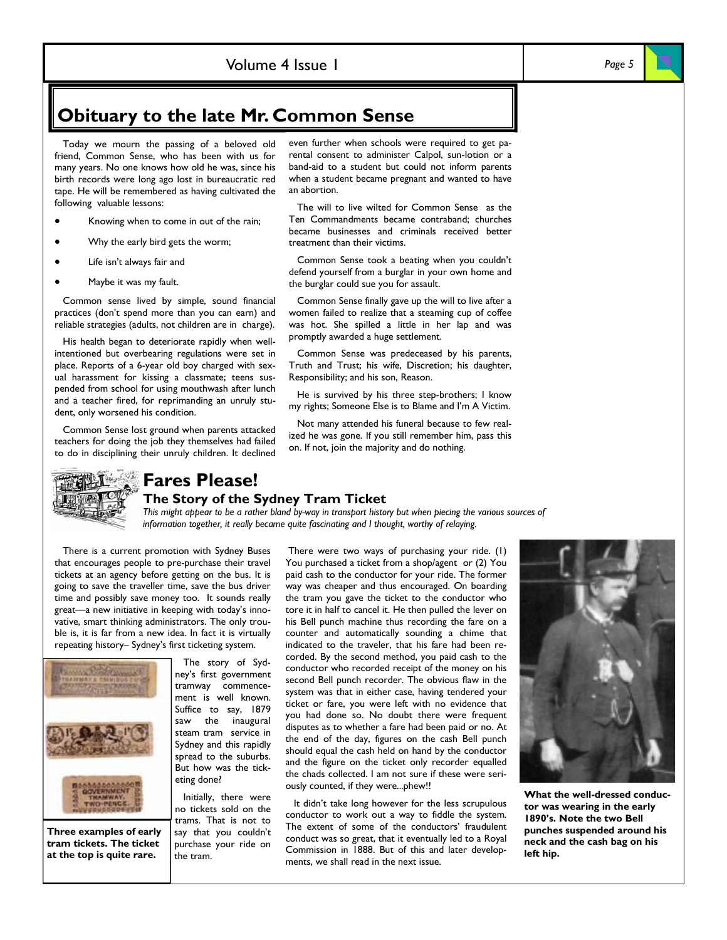## Volume 4 Issue 1 *Page 5*

# **Obituary to the late Mr. Common Sense**

 Today we mourn the passing of a beloved old friend, Common Sense, who has been with us for many years. No one knows how old he was, since his birth records were long ago lost in bureaucratic red tape. He will be remembered as having cultivated the following valuable lessons:

- Knowing when to come in out of the rain;
- Why the early bird gets the worm;
- Life isn't always fair and
- Maybe it was my fault.

 Common sense lived by simple, sound financial practices (don't spend more than you can earn) and reliable strategies (adults, not children are in charge).

 His health began to deteriorate rapidly when wellintentioned but overbearing regulations were set in place. Reports of a 6-year old boy charged with sexual harassment for kissing a classmate; teens suspended from school for using mouthwash after lunch and a teacher fired, for reprimanding an unruly student, only worsened his condition.

 Common Sense lost ground when parents attacked teachers for doing the job they themselves had failed to do in disciplining their unruly children. It declined

even further when schools were required to get parental consent to administer Calpol, sun-lotion or a band-aid to a student but could not inform parents when a student became pregnant and wanted to have an abortion.

 The will to live wilted for Common Sense as the Ten Commandments became contraband; churches became businesses and criminals received better treatment than their victims.

 Common Sense took a beating when you couldn't defend yourself from a burglar in your own home and the burglar could sue you for assault.

 Common Sense finally gave up the will to live after a women failed to realize that a steaming cup of coffee was hot. She spilled a little in her lap and was promptly awarded a huge settlement.

 Common Sense was predeceased by his parents, Truth and Trust; his wife, Discretion; his daughter, Responsibility; and his son, Reason.

 He is survived by his three step-brothers; I know my rights; Someone Else is to Blame and I'm A Victim.

 Not many attended his funeral because to few realized he was gone. If you still remember him, pass this on. If not, join the majority and do nothing.



# **Fares Please!**

## **The Story of the Sydney Tram Ticket**

*This might appear to be a rather bland by-way in transport history but when piecing the various sources of information together, it really became quite fascinating and I thought, worthy of relaying.* 

 There is a current promotion with Sydney Buses that encourages people to pre-purchase their travel tickets at an agency before getting on the bus. It is going to save the traveller time, save the bus driver time and possibly save money too. It sounds really great—a new initiative in keeping with today's innovative, smart thinking administrators. The only trouble is, it is far from a new idea. In fact it is virtually repeating history– Sydney's first ticketing system.



**Three examples of early tram tickets. The ticket at the top is quite rare.** 

 The story of Sydney's first government tramway commencement is well known. Suffice to say, 1879 saw the inaugural steam tram service in Sydney and this rapidly spread to the suburbs. But how was the ticketing done?

 Initially, there were no tickets sold on the trams. That is not to say that you couldn't purchase your ride on the tram.

 There were two ways of purchasing your ride. (1) You purchased a ticket from a shop/agent or (2) You paid cash to the conductor for your ride. The former way was cheaper and thus encouraged. On boarding the tram you gave the ticket to the conductor who tore it in half to cancel it. He then pulled the lever on his Bell punch machine thus recording the fare on a counter and automatically sounding a chime that indicated to the traveler, that his fare had been recorded. By the second method, you paid cash to the conductor who recorded receipt of the money on his second Bell punch recorder. The obvious flaw in the system was that in either case, having tendered your ticket or fare, you were left with no evidence that you had done so. No doubt there were frequent disputes as to whether a fare had been paid or no. At the end of the day, figures on the cash Bell punch should equal the cash held on hand by the conductor and the figure on the ticket only recorder equalled the chads collected. I am not sure if these were seriously counted, if they were...phew!!

 It didn't take long however for the less scrupulous conductor to work out a way to fiddle the system. The extent of some of the conductors' fraudulent conduct was so great, that it eventually led to a Royal Commission in 1888. But of this and later developments, we shall read in the next issue.



**What the well-dressed conductor was wearing in the early 1890's. Note the two Bell punches suspended around his neck and the cash bag on his left hip.**